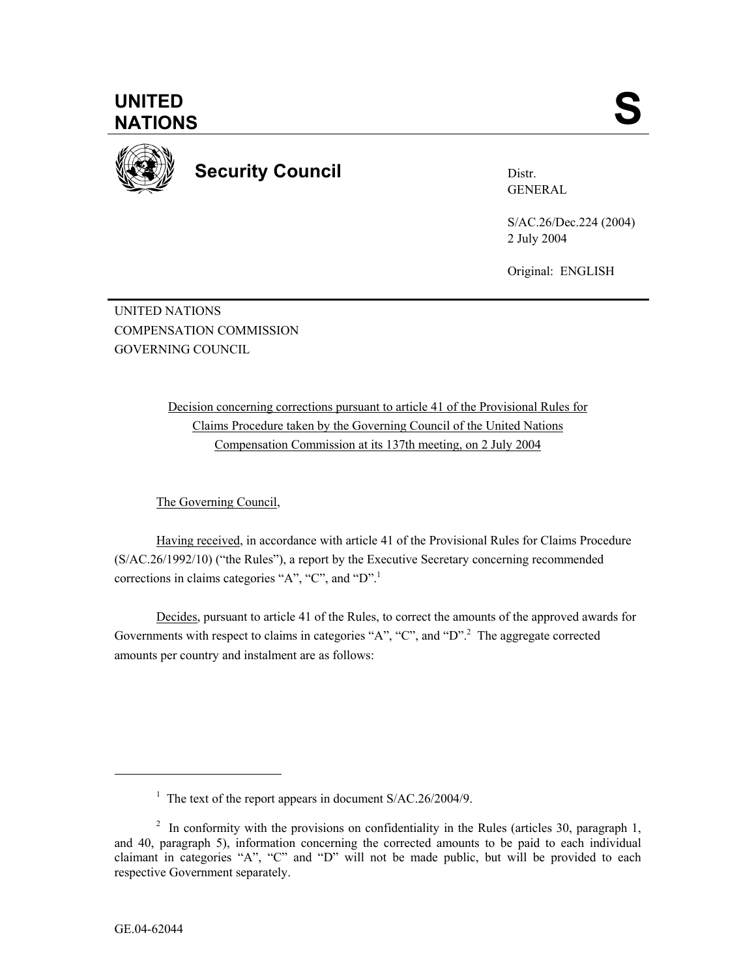**UNITED**  UNITED SANTIONS



**Security Council** 

Distr. GENERAL

S/AC.26/Dec.224 (2004) 2 July 2004

Original: ENGLISH

UNITED NATIONS COMPENSATION COMMISSION GOVERNING COUNCIL

> Decision concerning corrections pursuant to article 41 of the Provisional Rules for Claims Procedure taken by the Governing Council of the United Nations Compensation Commission at its 137th meeting, on 2 July 2004

The Governing Council,

Having received, in accordance with article 41 of the Provisional Rules for Claims Procedure (S/AC.26/1992/10) ("the Rules"), a report by the Executive Secretary concerning recommended corrections in claims categories "A", "C", and "D".

Decides, pursuant to article 41 of the Rules, to correct the amounts of the approved awards for Governments with respect to claims in categories "A", "C", and "D".<sup>2</sup> The aggregate corrected amounts per country and instalment are as follows:

 $\overline{a}$ 

<sup>&</sup>lt;sup>1</sup> The text of the report appears in document S/AC.26/2004/9.

<sup>&</sup>lt;sup>2</sup> In conformity with the provisions on confidentiality in the Rules (articles 30, paragraph 1, and 40, paragraph 5), information concerning the corrected amounts to be paid to each individual claimant in categories "A", "C" and "D" will not be made public, but will be provided to each respective Government separately.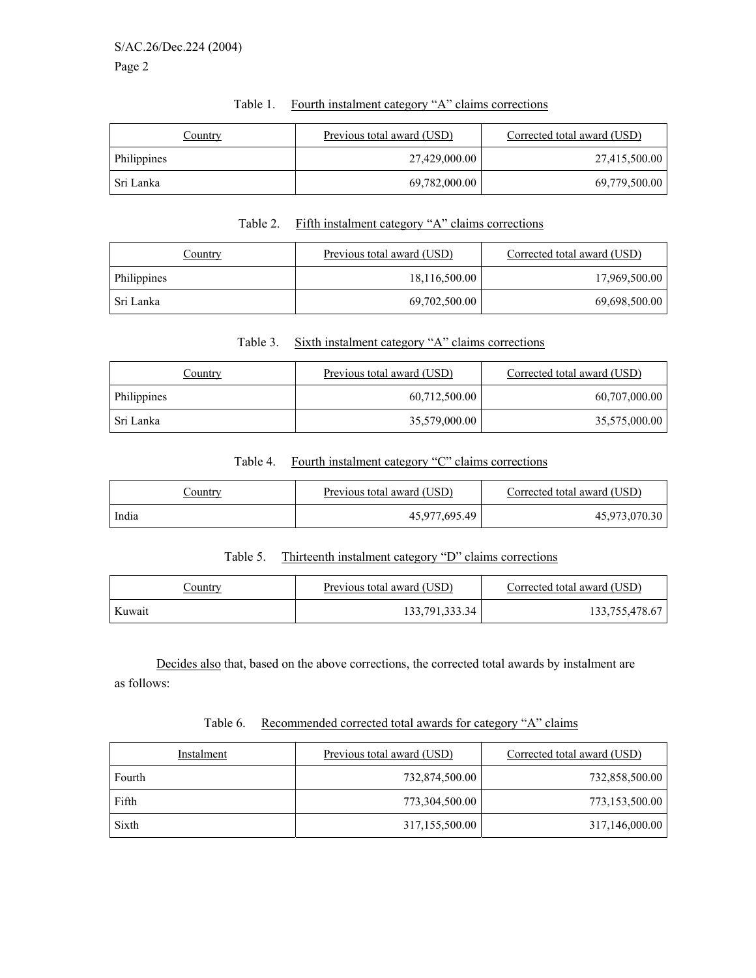| Country     | Previous total award (USD) | Corrected total award (USD) |
|-------------|----------------------------|-----------------------------|
| Philippines | 27,429,000.00              | 27,415,500.00               |
| Sri Lanka   | 69,782,000.00              | 69,779,500.00               |

# Table 1. Fourth instalment category "A" claims corrections

#### Table 2. Fifth instalment category "A" claims corrections

| Country     | Previous total award (USD) | Corrected total award (USD) |
|-------------|----------------------------|-----------------------------|
| Philippines | 18,116,500.00              | 17,969,500.00               |
| Sri Lanka   | 69,702,500.00              | 69,698,500.00               |

### Table 3. Sixth instalment category "A" claims corrections

| Country     | Previous total award (USD) | Corrected total award (USD) |
|-------------|----------------------------|-----------------------------|
| Philippines | 60,712,500.00              | 60,707,000.00               |
| Sri Lanka   | 35,579,000.00              | 35,575,000.00               |

# Table 4. Fourth instalment category "C" claims corrections

| <u>Sountry</u> | Previous total award (USD) | Corrected total award (USD) |
|----------------|----------------------------|-----------------------------|
| India          | 45,977,695.49              | 45,973,070.30               |

## Table 5. Thirteenth instalment category "D" claims corrections

| <u>Country</u> | Previous total award (USD) | Corrected total award (USD) |
|----------------|----------------------------|-----------------------------|
| Kuwait         | 133,791,333.34             | 133,755,478.67              |

 Decides also that, based on the above corrections, the corrected total awards by instalment are as follows:

## Table 6. Recommended corrected total awards for category "A" claims

| Instalment | Previous total award (USD) | Corrected total award (USD) |
|------------|----------------------------|-----------------------------|
| Fourth     | 732,874,500.00             | 732,858,500.00              |
| Fifth      | 773,304,500.00             | 773,153,500.00              |
| Sixth      | 317,155,500.00             | 317,146,000.00              |